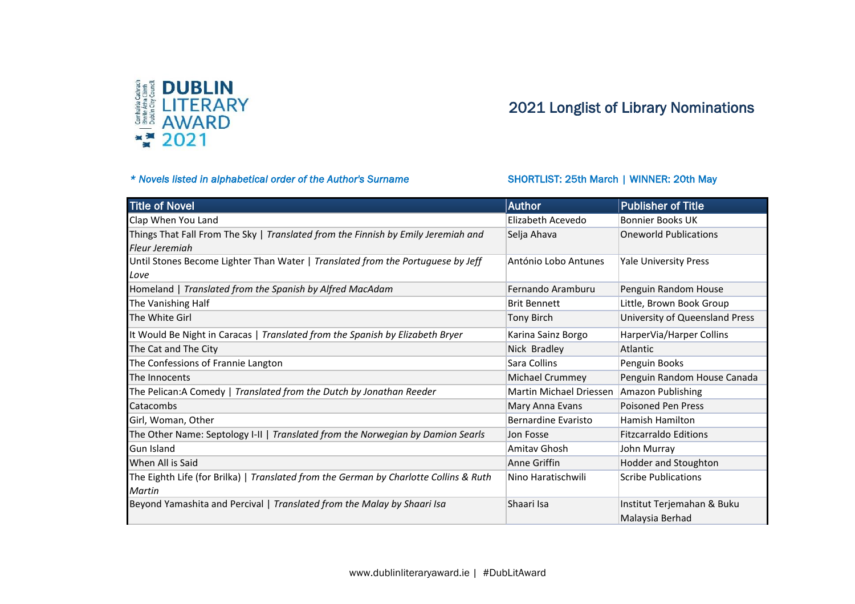

## 2021 Longlist of Library Nominations

## \* Novels listed in alphabetical order of the Author's Surname SHORTLIST: 25th March | WINNER: 20th May

| <b>Title of Novel</b>                                                                 | <b>Author</b>              | <b>Publisher of Title</b>      |
|---------------------------------------------------------------------------------------|----------------------------|--------------------------------|
| Clap When You Land                                                                    | Elizabeth Acevedo          | <b>Bonnier Books UK</b>        |
| Things That Fall From The Sky   Translated from the Finnish by Emily Jeremiah and     | Selja Ahava                | <b>Oneworld Publications</b>   |
| Fleur Jeremiah                                                                        |                            |                                |
| Until Stones Become Lighter Than Water   Translated from the Portuguese by Jeff       | António Lobo Antunes       | <b>Yale University Press</b>   |
| Love                                                                                  |                            |                                |
| Homeland   Translated from the Spanish by Alfred MacAdam                              | Fernando Aramburu          | Penguin Random House           |
| The Vanishing Half                                                                    | <b>Brit Bennett</b>        | Little, Brown Book Group       |
| The White Girl                                                                        | <b>Tony Birch</b>          | University of Queensland Press |
| It Would Be Night in Caracas   Translated from the Spanish by Elizabeth Bryer         | Karina Sainz Borgo         | HarperVia/Harper Collins       |
| The Cat and The City                                                                  | Nick Bradley               | Atlantic                       |
| The Confessions of Frannie Langton                                                    | Sara Collins               | Penguin Books                  |
| The Innocents                                                                         | Michael Crummey            | Penguin Random House Canada    |
| The Pelican:A Comedy   Translated from the Dutch by Jonathan Reeder                   | Martin Michael Driessen    | Amazon Publishing              |
| Catacombs                                                                             | Mary Anna Evans            | <b>Poisoned Pen Press</b>      |
| Girl, Woman, Other                                                                    | <b>Bernardine Evaristo</b> | Hamish Hamilton                |
| The Other Name: Septology I-II   Translated from the Norwegian by Damion Searls       | Jon Fosse                  | <b>Fitzcarraldo Editions</b>   |
| <b>Gun Island</b>                                                                     | Amitav Ghosh               | John Murray                    |
| When All is Said                                                                      | Anne Griffin               | Hodder and Stoughton           |
| The Eighth Life (for Brilka)   Translated from the German by Charlotte Collins & Ruth | Nino Haratischwili         | <b>Scribe Publications</b>     |
| Martin                                                                                |                            |                                |
| Beyond Yamashita and Percival   Translated from the Malay by Shaari Isa               | Shaari Isa                 | Institut Terjemahan & Buku     |
|                                                                                       |                            | Malaysia Berhad                |